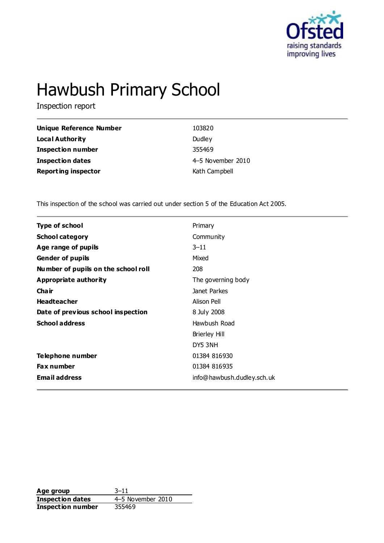

# Hawbush Primary School

Inspection report

| Unique Reference Number    | 103820            |
|----------------------------|-------------------|
| Local Authority            | Dudley            |
| <b>Inspection number</b>   | 355469            |
| Inspection dates           | 4-5 November 2010 |
| <b>Reporting inspector</b> | Kath Campbell     |

This inspection of the school was carried out under section 5 of the Education Act 2005.

| <b>Type of school</b>               | Primary                    |
|-------------------------------------|----------------------------|
| <b>School category</b>              | Community                  |
| Age range of pupils                 | $3 - 11$                   |
| <b>Gender of pupils</b>             | Mixed                      |
| Number of pupils on the school roll | 208                        |
| Appropriate authority               | The governing body         |
| Cha ir                              | Janet Parkes               |
| <b>Headteacher</b>                  | Alison Pell                |
| Date of previous school inspection  | 8 July 2008                |
| <b>School address</b>               | Hawbush Road               |
|                                     | <b>Brierley Hill</b>       |
|                                     | DY5 3NH                    |
| Telephone number                    | 01384 816930               |
| <b>Fax number</b>                   | 01384 816935               |
| <b>Email address</b>                | info@hawbush.dudley.sch.uk |
|                                     |                            |

**Age group** 3–11 **Inspection dates** 4–5 November 2010<br> **Inspection number** 355469 **Inspection number**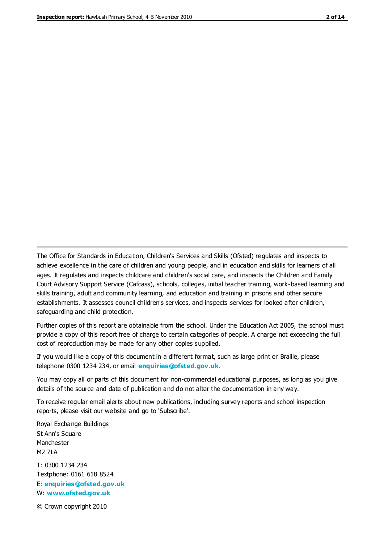The Office for Standards in Education, Children's Services and Skills (Ofsted) regulates and inspects to achieve excellence in the care of children and young people, and in education and skills for learners of all ages. It regulates and inspects childcare and children's social care, and inspects the Children and Family Court Advisory Support Service (Cafcass), schools, colleges, initial teacher training, work-based learning and skills training, adult and community learning, and education and training in prisons and other secure establishments. It assesses council children's services, and inspects services for looked after children, safeguarding and child protection.

Further copies of this report are obtainable from the school. Under the Education Act 2005, the school must provide a copy of this report free of charge to certain categories of people. A charge not exceeding the full cost of reproduction may be made for any other copies supplied.

If you would like a copy of this document in a different format, such as large print or Braille, please telephone 0300 1234 234, or email **[enquiries@ofsted.gov.uk](mailto:enquiries@ofsted.gov.uk)**.

You may copy all or parts of this document for non-commercial educational purposes, as long as you give details of the source and date of publication and do not alter the documentation in any way.

To receive regular email alerts about new publications, including survey reports and school inspection reports, please visit our website and go to 'Subscribe'.

Royal Exchange Buildings St Ann's Square Manchester M2 7LA T: 0300 1234 234 Textphone: 0161 618 8524 E: **[enquiries@ofsted.gov.uk](mailto:enquiries@ofsted.gov.uk)** W: **[www.ofsted.gov.uk](http://www.ofsted.gov.uk/)**

© Crown copyright 2010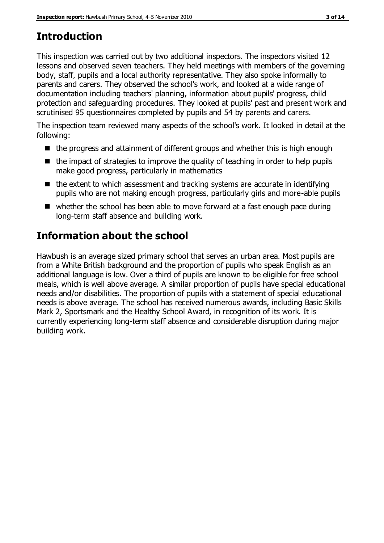## **Introduction**

This inspection was carried out by two additional inspectors. The inspectors visited 12 lessons and observed seven teachers. They held meetings with members of the governing body, staff, pupils and a local authority representative. They also spoke informally to parents and carers. They observed the school's work, and looked at a wide range of documentation including teachers' planning, information about pupils' progress, child protection and safeguarding procedures. They looked at pupils' past and present work and scrutinised 95 questionnaires completed by pupils and 54 by parents and carers.

The inspection team reviewed many aspects of the school's work. It looked in detail at the following:

- $\blacksquare$  the progress and attainment of different groups and whether this is high enough
- $\blacksquare$  the impact of strategies to improve the quality of teaching in order to help pupils make good progress, particularly in mathematics
- $\blacksquare$  the extent to which assessment and tracking systems are accurate in identifying pupils who are not making enough progress, particularly girls and more-able pupils
- whether the school has been able to move forward at a fast enough pace during long-term staff absence and building work.

## **Information about the school**

Hawbush is an average sized primary school that serves an urban area. Most pupils are from a White British background and the proportion of pupils who speak English as an additional language is low. Over a third of pupils are known to be eligible for free school meals, which is well above average. A similar proportion of pupils have special educational needs and/or disabilities. The proportion of pupils with a statement of special educational needs is above average. The school has received numerous awards, including Basic Skills Mark 2, Sportsmark and the Healthy School Award, in recognition of its work. It is currently experiencing long-term staff absence and considerable disruption during major building work.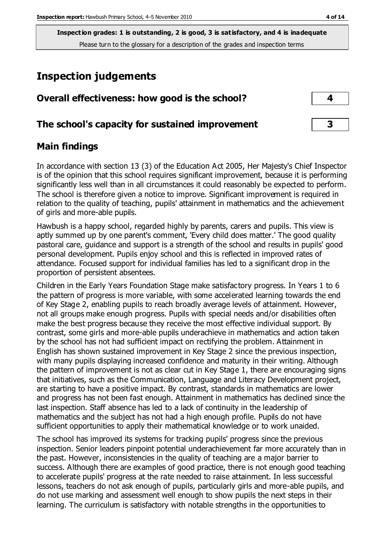## **Inspection judgements**

| Overall effectiveness: how good is the school?  |  |
|-------------------------------------------------|--|
| The school's capacity for sustained improvement |  |

## **Main findings**

In accordance with section 13 (3) of the Education Act 2005, Her Majesty's Chief Inspector is of the opinion that this school requires significant improvement, because it is performing significantly less well than in all circumstances it could reasonably be expected to perform. The school is therefore given a notice to improve. Significant improvement is required in relation to the quality of teaching, pupils' attainment in mathematics and the achievement of girls and more-able pupils.

Hawbush is a happy school, regarded highly by parents, carers and pupils. This view is aptly summed up by one parent's comment, 'Every child does matter.' The good quality pastoral care, guidance and support is a strength of the school and results in pupils' good personal development. Pupils enjoy school and this is reflected in improved rates of attendance. Focused support for individual families has led to a significant drop in the proportion of persistent absentees.

Children in the Early Years Foundation Stage make satisfactory progress. In Years 1 to 6 the pattern of progress is more variable, with some accelerated learning towards the end of Key Stage 2, enabling pupils to reach broadly average levels of attainment. However, not all groups make enough progress. Pupils with special needs and/or disabilities often make the best progress because they receive the most effective individual support. By contrast, some girls and more-able pupils underachieve in mathematics and action taken by the school has not had sufficient impact on rectifying the problem. Attainment in English has shown sustained improvement in Key Stage 2 since the previous inspection, with many pupils displaying increased confidence and maturity in their writing. Although the pattern of improvement is not as clear cut in Key Stage 1, there are encouraging signs that initiatives, such as the Communication, Language and Literacy Development project, are starting to have a positive impact. By contrast, standards in mathematics are lower and progress has not been fast enough. Attainment in mathematics has declined since the last inspection. Staff absence has led to a lack of continuity in the leadership of mathematics and the subject has not had a high enough profile. Pupils do not have sufficient opportunities to apply their mathematical knowledge or to work unaided.

The school has improved its systems for tracking pupils' progress since the previous inspection. Senior leaders pinpoint potential underachievement far more accurately than in the past. However, inconsistencies in the quality of teaching are a major barrier to success. Although there are examples of good practice, there is not enough good teaching to accelerate pupils' progress at the rate needed to raise attainment. In less successful lessons, teachers do not ask enough of pupils, particularly girls and more-able pupils, and do not use marking and assessment well enough to show pupils the next steps in their learning. The curriculum is satisfactory with notable strengths in the opportunities to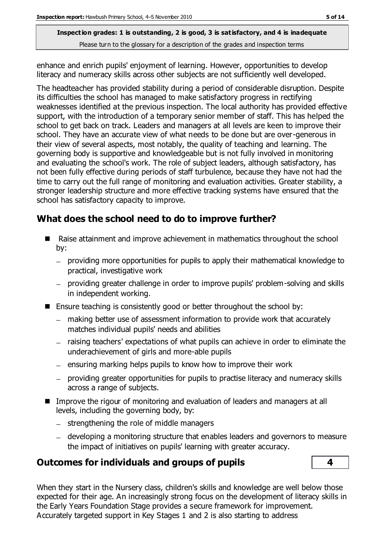enhance and enrich pupils' enjoyment of learning. However, opportunities to develop literacy and numeracy skills across other subjects are not sufficiently well developed.

The headteacher has provided stability during a period of considerable disruption. Despite its difficulties the school has managed to make satisfactory progress in rectifying weaknesses identified at the previous inspection. The local authority has provided effective support, with the introduction of a temporary senior member of staff. This has helped the school to get back on track. Leaders and managers at all levels are keen to improve their school. They have an accurate view of what needs to be done but are over-generous in their view of several aspects, most notably, the quality of teaching and learning. The governing body is supportive and knowledgeable but is not fully involved in monitoring and evaluating the school's work. The role of subject leaders, although satisfactory, has not been fully effective during periods of staff turbulence, because they have not had the time to carry out the full range of monitoring and evaluation activities. Greater stability, a stronger leadership structure and more effective tracking systems have ensured that the school has satisfactory capacity to improve.

## **What does the school need to do to improve further?**

- Raise attainment and improve achievement in mathematics throughout the school by:
	- providing more opportunities for pupils to apply their mathematical knowledge to practical, investigative work
	- providing greater challenge in order to improve pupils' problem-solving and skills in independent working.
- **Ensure teaching is consistently good or better throughout the school by:** 
	- making better use of assessment information to provide work that accurately matches individual pupils' needs and abilities
	- raising teachers' expectations of what pupils can achieve in order to eliminate the underachievement of girls and more-able pupils
	- $=$  ensuring marking helps pupils to know how to improve their work
	- providing greater opportunities for pupils to practise literacy and numeracy skills across a range of subjects.
- Improve the rigour of monitoring and evaluation of leaders and managers at all levels, including the governing body, by:
	- $-$  strengthening the role of middle managers
	- developing a monitoring structure that enables leaders and governors to measure the impact of initiatives on pupils' learning with greater accuracy.

## **Outcomes for individuals and groups of pupils 4**



When they start in the Nursery class, children's skills and knowledge are well below those expected for their age. An increasingly strong focus on the development of literacy skills in the Early Years Foundation Stage provides a secure framework for improvement. Accurately targeted support in Key Stages 1 and 2 is also starting to address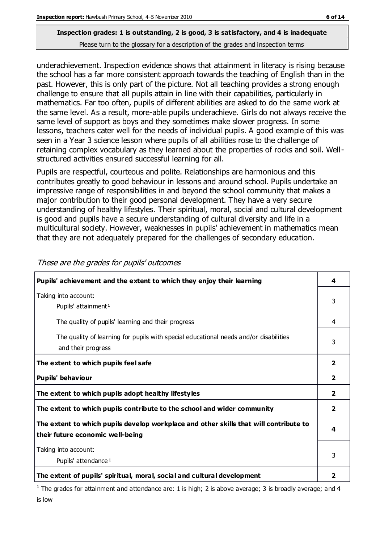## **Inspection grades: 1 is outstanding, 2 is good, 3 is satisfactory, and 4 is inadequate**

Please turn to the glossary for a description of the grades and inspection terms

underachievement. Inspection evidence shows that attainment in literacy is rising because the school has a far more consistent approach towards the teaching of English than in the past. However, this is only part of the picture. Not all teaching provides a strong enough challenge to ensure that all pupils attain in line with their capabilities, particularly in mathematics. Far too often, pupils of different abilities are asked to do the same work at the same level. As a result, more-able pupils underachieve. Girls do not always receive the same level of support as boys and they sometimes make slower progress. In some lessons, teachers cater well for the needs of individual pupils. A good example of this was seen in a Year 3 science lesson where pupils of all abilities rose to the challenge of retaining complex vocabulary as they learned about the properties of rocks and soil. Wellstructured activities ensured successful learning for all.

Pupils are respectful, courteous and polite. Relationships are harmonious and this contributes greatly to good behaviour in lessons and around school. Pupils undertake an impressive range of responsibilities in and beyond the school community that makes a major contribution to their good personal development. They have a very secure understanding of healthy lifestyles. Their spiritual, moral, social and cultural development is good and pupils have a secure understanding of cultural diversity and life in a multicultural society. However, weaknesses in pupils' achievement in mathematics mean that they are not adequately prepared for the challenges of secondary education.

| Pupils' achievement and the extent to which they enjoy their learning                                                     | 4                       |
|---------------------------------------------------------------------------------------------------------------------------|-------------------------|
| Taking into account:<br>Pupils' attainment <sup>1</sup>                                                                   | 3                       |
| The quality of pupils' learning and their progress                                                                        | 4                       |
| The quality of learning for pupils with special educational needs and/or disabilities<br>and their progress               | 3                       |
| The extent to which pupils feel safe                                                                                      | $\overline{2}$          |
| Pupils' behaviour                                                                                                         | 2                       |
| The extent to which pupils adopt healthy lifestyles                                                                       | 2                       |
| The extent to which pupils contribute to the school and wider community                                                   | $\overline{\mathbf{2}}$ |
| The extent to which pupils develop workplace and other skills that will contribute to<br>their future economic well-being |                         |
| Taking into account:<br>Pupils' attendance <sup>1</sup>                                                                   | 3                       |
| The extent of pupils' spiritual, moral, social and cultural development                                                   |                         |

These are the grades for pupils' outcomes

<sup>1</sup> The grades for attainment and attendance are: 1 is high; 2 is above average; 3 is broadly average; and 4 is low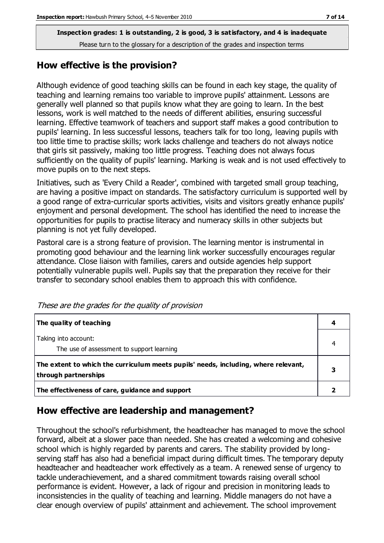#### **How effective is the provision?**

Although evidence of good teaching skills can be found in each key stage, the quality of teaching and learning remains too variable to improve pupils' attainment. Lessons are generally well planned so that pupils know what they are going to learn. In the best lessons, work is well matched to the needs of different abilities, ensuring successful learning. Effective teamwork of teachers and support staff makes a good contribution to pupils' learning. In less successful lessons, teachers talk for too long, leaving pupils with too little time to practise skills; work lacks challenge and teachers do not always notice that girls sit passively, making too little progress. Teaching does not always focus sufficiently on the quality of pupils' learning. Marking is weak and is not used effectively to move pupils on to the next steps.

Initiatives, such as 'Every Child a Reader', combined with targeted small group teaching, are having a positive impact on standards. The satisfactory curriculum is supported well by a good range of extra-curricular sports activities, visits and visitors greatly enhance pupils' enjoyment and personal development. The school has identified the need to increase the opportunities for pupils to practise literacy and numeracy skills in other subjects but planning is not yet fully developed.

Pastoral care is a strong feature of provision. The learning mentor is instrumental in promoting good behaviour and the learning link worker successfully encourages regular attendance. Close liaison with families, carers and outside agencies help support potentially vulnerable pupils well. Pupils say that the preparation they receive for their transfer to secondary school enables them to approach this with confidence.

| The quality of teaching                                                                                    | 4 |
|------------------------------------------------------------------------------------------------------------|---|
| Taking into account:<br>The use of assessment to support learning                                          | 4 |
| The extent to which the curriculum meets pupils' needs, including, where relevant,<br>through partnerships | 3 |
| The effectiveness of care, guidance and support                                                            |   |

These are the grades for the quality of provision

## **How effective are leadership and management?**

Throughout the school's refurbishment, the headteacher has managed to move the school forward, albeit at a slower pace than needed. She has created a welcoming and cohesive school which is highly regarded by parents and carers. The stability provided by longserving staff has also had a beneficial impact during difficult times. The temporary deputy headteacher and headteacher work effectively as a team. A renewed sense of urgency to tackle underachievement, and a shared commitment towards raising overall school performance is evident. However, a lack of rigour and precision in monitoring leads to inconsistencies in the quality of teaching and learning. Middle managers do not have a clear enough overview of pupils' attainment and achievement. The school improvement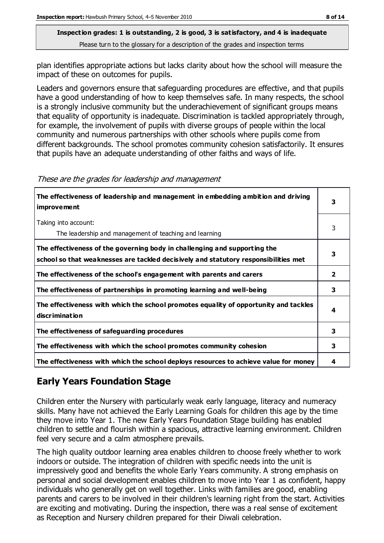plan identifies appropriate actions but lacks clarity about how the school will measure the impact of these on outcomes for pupils.

Leaders and governors ensure that safeguarding procedures are effective, and that pupils have a good understanding of how to keep themselves safe. In many respects, the school is a strongly inclusive community but the underachievement of significant groups means that equality of opportunity is inadequate. Discrimination is tackled appropriately through, for example, the involvement of pupils with diverse groups of people within the local community and numerous partnerships with other schools where pupils come from different backgrounds. The school promotes community cohesion satisfactorily. It ensures that pupils have an adequate understanding of other faiths and ways of life.

| The effectiveness of leadership and management in embedding ambition and driving<br><b>improvement</b>                                                           |              |
|------------------------------------------------------------------------------------------------------------------------------------------------------------------|--------------|
| Taking into account:<br>The leadership and management of teaching and learning                                                                                   | 3            |
| The effectiveness of the governing body in challenging and supporting the<br>school so that weaknesses are tackled decisively and statutory responsibilities met | з            |
| The effectiveness of the school's engagement with parents and carers                                                                                             | $\mathbf{2}$ |
| The effectiveness of partnerships in promoting learning and well-being                                                                                           | 3            |
| The effectiveness with which the school promotes equality of opportunity and tackles<br><b>discrimination</b>                                                    | 4            |
| The effectiveness of safeguarding procedures                                                                                                                     | 3            |
| The effectiveness with which the school promotes community cohesion                                                                                              | 3            |
| The effectiveness with which the school deploys resources to achieve value for money                                                                             | 4            |

These are the grades for leadership and management

## **Early Years Foundation Stage**

Children enter the Nursery with particularly weak early language, literacy and numeracy skills. Many have not achieved the Early Learning Goals for children this age by the time they move into Year 1. The new Early Years Foundation Stage building has enabled children to settle and flourish within a spacious, attractive learning environment. Children feel very secure and a calm atmosphere prevails.

The high quality outdoor learning area enables children to choose freely whether to work indoors or outside. The integration of children with specific needs into the unit is impressively good and benefits the whole Early Years community. A strong emphasis on personal and social development enables children to move into Year 1 as confident, happy individuals who generally get on well together. Links with families are good, enabling parents and carers to be involved in their children's learning right from the start. Activities are exciting and motivating. During the inspection, there was a real sense of excitement as Reception and Nursery children prepared for their Diwali celebration.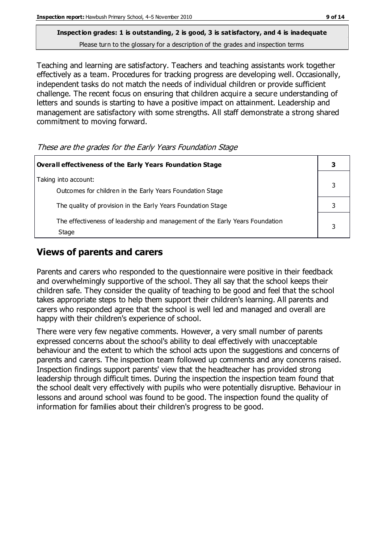Teaching and learning are satisfactory. Teachers and teaching assistants work together effectively as a team. Procedures for tracking progress are developing well. Occasionally, independent tasks do not match the needs of individual children or provide sufficient challenge. The recent focus on ensuring that children acquire a secure understanding of letters and sounds is starting to have a positive impact on attainment. Leadership and management are satisfactory with some strengths. All staff demonstrate a strong shared commitment to moving forward.

These are the grades for the Early Years Foundation Stage

| Overall effectiveness of the Early Years Foundation Stage                             |  |
|---------------------------------------------------------------------------------------|--|
| Taking into account:<br>Outcomes for children in the Early Years Foundation Stage     |  |
| The quality of provision in the Early Years Foundation Stage                          |  |
| The effectiveness of leadership and management of the Early Years Foundation<br>Stage |  |

## **Views of parents and carers**

Parents and carers who responded to the questionnaire were positive in their feedback and overwhelmingly supportive of the school. They all say that the school keeps their children safe. They consider the quality of teaching to be good and feel that the school takes appropriate steps to help them support their children's learning. All parents and carers who responded agree that the school is well led and managed and overall are happy with their children's experience of school.

There were very few negative comments. However, a very small number of parents expressed concerns about the school's ability to deal effectively with unacceptable behaviour and the extent to which the school acts upon the suggestions and concerns of parents and carers. The inspection team followed up comments and any concerns raised. Inspection findings support parents' view that the headteacher has provided strong leadership through difficult times. During the inspection the inspection team found that the school dealt very effectively with pupils who were potentially disruptive. Behaviour in lessons and around school was found to be good. The inspection found the quality of information for families about their children's progress to be good.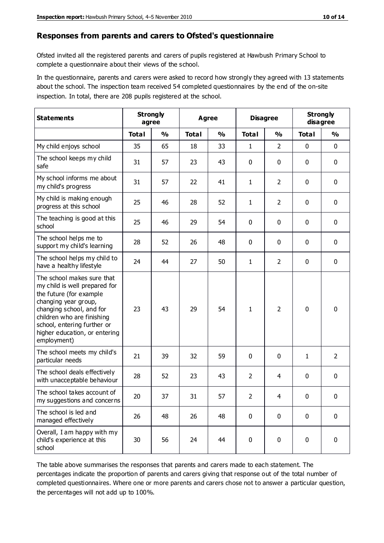#### **Responses from parents and carers to Ofsted's questionnaire**

Ofsted invited all the registered parents and carers of pupils registered at Hawbush Primary School to complete a questionnaire about their views of the school.

In the questionnaire, parents and carers were asked to record how strongly they agreed with 13 statements about the school. The inspection team received 54 completed questionnaires by the end of the on-site inspection. In total, there are 208 pupils registered at the school.

| <b>Statements</b>                                                                                                                                                                                                                                       | <b>Strongly</b><br>agree |               | Agree        |               | <b>Disagree</b> |                | <b>Strongly</b><br>disagree |                |
|---------------------------------------------------------------------------------------------------------------------------------------------------------------------------------------------------------------------------------------------------------|--------------------------|---------------|--------------|---------------|-----------------|----------------|-----------------------------|----------------|
|                                                                                                                                                                                                                                                         | <b>Total</b>             | $\frac{0}{0}$ | <b>Total</b> | $\frac{0}{0}$ | <b>Total</b>    | $\frac{0}{0}$  | <b>Total</b>                | $\frac{0}{0}$  |
| My child enjoys school                                                                                                                                                                                                                                  | 35                       | 65            | 18           | 33            | 1               | $\overline{2}$ | $\mathbf 0$                 | $\mathbf 0$    |
| The school keeps my child<br>safe                                                                                                                                                                                                                       | 31                       | 57            | 23           | 43            | 0               | 0              | $\mathbf 0$                 | $\mathbf 0$    |
| My school informs me about<br>my child's progress                                                                                                                                                                                                       | 31                       | 57            | 22           | 41            | $\mathbf{1}$    | $\overline{2}$ | $\mathbf 0$                 | $\mathbf 0$    |
| My child is making enough<br>progress at this school                                                                                                                                                                                                    | 25                       | 46            | 28           | 52            | 1               | $\overline{2}$ | 0                           | $\mathbf 0$    |
| The teaching is good at this<br>school                                                                                                                                                                                                                  | 25                       | 46            | 29           | 54            | 0               | 0              | $\mathbf 0$                 | $\mathbf 0$    |
| The school helps me to<br>support my child's learning                                                                                                                                                                                                   | 28                       | 52            | 26           | 48            | 0               | 0              | $\mathbf 0$                 | $\mathbf 0$    |
| The school helps my child to<br>have a healthy lifestyle                                                                                                                                                                                                | 24                       | 44            | 27           | 50            | $\mathbf{1}$    | $\overline{2}$ | $\mathbf 0$                 | $\mathbf 0$    |
| The school makes sure that<br>my child is well prepared for<br>the future (for example<br>changing year group,<br>changing school, and for<br>children who are finishing<br>school, entering further or<br>higher education, or entering<br>employment) | 23                       | 43            | 29           | 54            | 1               | $\overline{2}$ | $\mathbf 0$                 | $\mathbf 0$    |
| The school meets my child's<br>particular needs                                                                                                                                                                                                         | 21                       | 39            | 32           | 59            | 0               | $\mathbf{0}$   | $\mathbf{1}$                | $\overline{2}$ |
| The school deals effectively<br>with unacceptable behaviour                                                                                                                                                                                             | 28                       | 52            | 23           | 43            | $\overline{2}$  | 4              | $\mathbf 0$                 | 0              |
| The school takes account of<br>my suggestions and concerns                                                                                                                                                                                              | 20                       | 37            | 31           | 57            | $\overline{2}$  | 4              | 0                           | 0              |
| The school is led and<br>managed effectively                                                                                                                                                                                                            | 26                       | 48            | 26           | 48            | $\pmb{0}$       | $\mathbf 0$    | $\mathbf 0$                 | $\mathbf 0$    |
| Overall, I am happy with my<br>child's experience at this<br>school                                                                                                                                                                                     | 30                       | 56            | 24           | 44            | $\pmb{0}$       | 0              | $\mathbf 0$                 | $\mathbf 0$    |

The table above summarises the responses that parents and carers made to each statement. The percentages indicate the proportion of parents and carers giving that response out of the total number of completed questionnaires. Where one or more parents and carers chose not to answer a particular question, the percentages will not add up to 100%.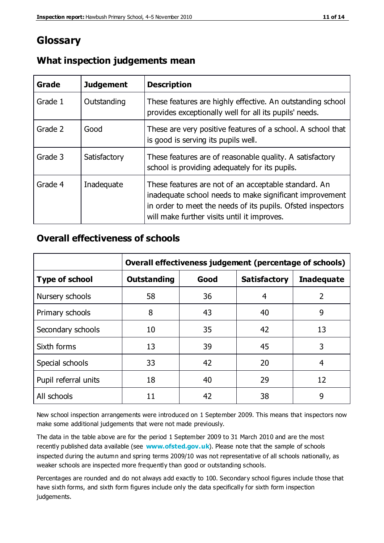## **Glossary**

| Grade   | <b>Judgement</b> | <b>Description</b>                                                                                                                                                                                                            |
|---------|------------------|-------------------------------------------------------------------------------------------------------------------------------------------------------------------------------------------------------------------------------|
| Grade 1 | Outstanding      | These features are highly effective. An outstanding school<br>provides exceptionally well for all its pupils' needs.                                                                                                          |
| Grade 2 | Good             | These are very positive features of a school. A school that<br>is good is serving its pupils well.                                                                                                                            |
| Grade 3 | Satisfactory     | These features are of reasonable quality. A satisfactory<br>school is providing adequately for its pupils.                                                                                                                    |
| Grade 4 | Inadequate       | These features are not of an acceptable standard. An<br>inadequate school needs to make significant improvement<br>in order to meet the needs of its pupils. Ofsted inspectors<br>will make further visits until it improves. |

### **What inspection judgements mean**

#### **Overall effectiveness of schools**

|                       | Overall effectiveness judgement (percentage of schools) |      |                     |                   |
|-----------------------|---------------------------------------------------------|------|---------------------|-------------------|
| <b>Type of school</b> | <b>Outstanding</b>                                      | Good | <b>Satisfactory</b> | <b>Inadequate</b> |
| Nursery schools       | 58                                                      | 36   | 4                   | $\overline{2}$    |
| Primary schools       | 8                                                       | 43   | 40                  | 9                 |
| Secondary schools     | 10                                                      | 35   | 42                  | 13                |
| Sixth forms           | 13                                                      | 39   | 45                  | 3                 |
| Special schools       | 33                                                      | 42   | 20                  | 4                 |
| Pupil referral units  | 18                                                      | 40   | 29                  | 12                |
| All schools           | 11                                                      | 42   | 38                  | 9                 |

New school inspection arrangements were introduced on 1 September 2009. This means that inspectors now make some additional judgements that were not made previously.

The data in the table above are for the period 1 September 2009 to 31 March 2010 and are the most recently published data available (see **[www.ofsted.gov.uk](http://www.ofsted.gov.uk/)**). Please note that the sample of schools inspected during the autumn and spring terms 2009/10 was not representative of all schools nationally, as weaker schools are inspected more frequently than good or outstanding schools.

Percentages are rounded and do not always add exactly to 100. Secondary school figures include those that have sixth forms, and sixth form figures include only the data specifically for sixth form inspection judgements.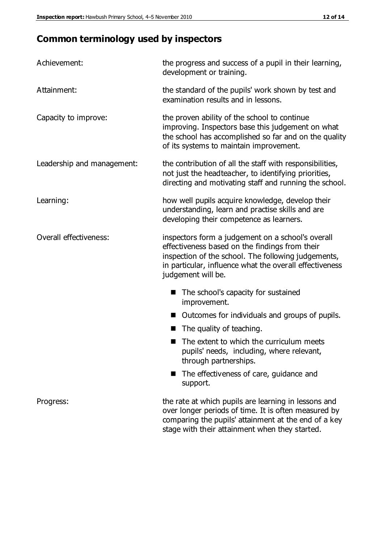## **Common terminology used by inspectors**

| Achievement:                  | the progress and success of a pupil in their learning,<br>development or training.                                                                                                                                                          |  |  |
|-------------------------------|---------------------------------------------------------------------------------------------------------------------------------------------------------------------------------------------------------------------------------------------|--|--|
| Attainment:                   | the standard of the pupils' work shown by test and<br>examination results and in lessons.                                                                                                                                                   |  |  |
| Capacity to improve:          | the proven ability of the school to continue<br>improving. Inspectors base this judgement on what<br>the school has accomplished so far and on the quality<br>of its systems to maintain improvement.                                       |  |  |
| Leadership and management:    | the contribution of all the staff with responsibilities,<br>not just the headteacher, to identifying priorities,<br>directing and motivating staff and running the school.                                                                  |  |  |
| Learning:                     | how well pupils acquire knowledge, develop their<br>understanding, learn and practise skills and are<br>developing their competence as learners.                                                                                            |  |  |
| <b>Overall effectiveness:</b> | inspectors form a judgement on a school's overall<br>effectiveness based on the findings from their<br>inspection of the school. The following judgements,<br>in particular, influence what the overall effectiveness<br>judgement will be. |  |  |
|                               | The school's capacity for sustained<br>improvement.                                                                                                                                                                                         |  |  |
|                               | Outcomes for individuals and groups of pupils.                                                                                                                                                                                              |  |  |
|                               | The quality of teaching.                                                                                                                                                                                                                    |  |  |
|                               | The extent to which the curriculum meets<br>pupils' needs, including, where relevant,<br>through partnerships.                                                                                                                              |  |  |
|                               | The effectiveness of care, guidance and<br>support.                                                                                                                                                                                         |  |  |
| Progress:                     | the rate at which pupils are learning in lessons and<br>over longer periods of time. It is often measured by<br>comparing the pupils' attainment at the end of a key                                                                        |  |  |

stage with their attainment when they started.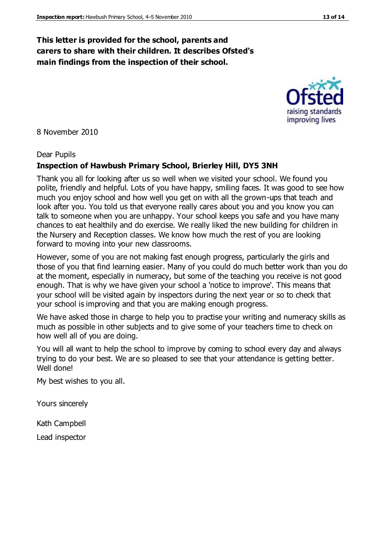#### **This letter is provided for the school, parents and carers to share with their children. It describes Ofsted's main findings from the inspection of their school.**

8 November 2010

#### Dear Pupils

#### **Inspection of Hawbush Primary School, Brierley Hill, DY5 3NH**

Thank you all for looking after us so well when we visited your school. We found you polite, friendly and helpful. Lots of you have happy, smiling faces. It was good to see how much you enjoy school and how well you get on with all the grown-ups that teach and look after you. You told us that everyone really cares about you and you know you can talk to someone when you are unhappy. Your school keeps you safe and you have many chances to eat healthily and do exercise. We really liked the new building for children in the Nursery and Reception classes. We know how much the rest of you are looking forward to moving into your new classrooms.

However, some of you are not making fast enough progress, particularly the girls and those of you that find learning easier. Many of you could do much better work than you do at the moment, especially in numeracy, but some of the teaching you receive is not good enough. That is why we have given your school a 'notice to improve'. This means that your school will be visited again by inspectors during the next year or so to check that your school is improving and that you are making enough progress.

We have asked those in charge to help you to practise your writing and numeracy skills as much as possible in other subjects and to give some of your teachers time to check on how well all of you are doing.

You will all want to help the school to improve by coming to school every day and always trying to do your best. We are so pleased to see that your attendance is getting better. Well done!

My best wishes to you all.

Yours sincerely

Kath Campbell

Lead inspector